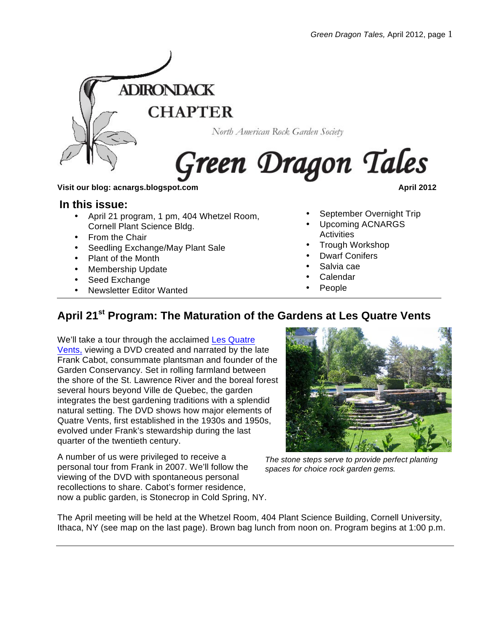

# North American Rock Garden Society

# Green Dragon Tales

#### **Visit our blog: acnargs.blogspot.com April 2012**

#### **In this issue:**

- April 21 program, 1 pm, 404 Whetzel Room, Cornell Plant Science Bldg.
- From the Chair
- Seedling Exchange/May Plant Sale
- Plant of the Month
- Membership Update
- Seed Exchange
- Newsletter Editor Wanted

- September Overnight Trip
- Upcoming ACNARGS **Activities**
- Trough Workshop
- Dwarf Conifers
- Salvia cae
- **Calendar**
- People

# **April 21st Program: The Maturation of the Gardens at Les Quatre Vents**

We'll take a tour through the acclaimed Les Quatre Vents, viewing a DVD created and narrated by the late Frank Cabot, consummate plantsman and founder of the Garden Conservancy. Set in rolling farmland between the shore of the St. Lawrence River and the boreal forest several hours beyond Ville de Quebec, the garden integrates the best gardening traditions with a splendid natural setting. The DVD shows how major elements of Quatre Vents, first established in the 1930s and 1950s, evolved under Frank's stewardship during the last quarter of the twentieth century.

A number of us were privileged to receive a personal tour from Frank in 2007. We'll follow the viewing of the DVD with spontaneous personal recollections to share. Cabot's former residence, now a public garden, is Stonecrop in Cold Spring, NY.



*The stone steps serve to provide perfect planting spaces for choice rock garden gems.*

The April meeting will be held at the Whetzel Room, 404 Plant Science Building, Cornell University, Ithaca, NY (see map on the last page). Brown bag lunch from noon on. Program begins at 1:00 p.m.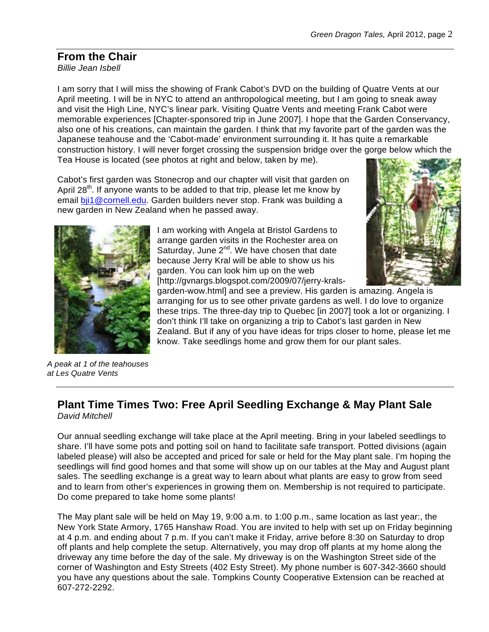# **From the Chair**

*Billie Jean Isbell*

I am sorry that I will miss the showing of Frank Cabot's DVD on the building of Quatre Vents at our April meeting. I will be in NYC to attend an anthropological meeting, but I am going to sneak away and visit the High Line, NYC's linear park. Visiting Quatre Vents and meeting Frank Cabot were memorable experiences [Chapter-sponsored trip in June 2007]. I hope that the Garden Conservancy, also one of his creations, can maintain the garden. I think that my favorite part of the garden was the Japanese teahouse and the 'Cabot-made' environment surrounding it. It has quite a remarkable construction history. I will never forget crossing the suspension bridge over the gorge below which the Tea House is located (see photos at right and below, taken by me).

Cabot's first garden was Stonecrop and our chapter will visit that garden on April 28<sup>th</sup>. If anyone wants to be added to that trip, please let me know by email bij1@cornell.edu. Garden builders never stop. Frank was building a new garden in New Zealand when he passed away.





garden-wow.html] and see a preview. His garden is amazing. Angela is arranging for us to see other private gardens as well. I do love to organize these trips. The three-day trip to Quebec [in 2007] took a lot or organizing. I don't think I'll take on organizing a trip to Cabot's last garden in New Zealand. But if any of you have ideas for trips closer to home, please let me know. Take seedlings home and grow them for our plant sales.

*A peak at 1 of the teahouses at Les Quatre Vents* 

### **Plant Time Times Two: Free April Seedling Exchange & May Plant Sale**  *David Mitchell*

Our annual seedling exchange will take place at the April meeting. Bring in your labeled seedlings to share. I'll have some pots and potting soil on hand to facilitate safe transport. Potted divisions (again labeled please) will also be accepted and priced for sale or held for the May plant sale. I'm hoping the seedlings will find good homes and that some will show up on our tables at the May and August plant sales. The seedling exchange is a great way to learn about what plants are easy to grow from seed and to learn from other's experiences in growing them on. Membership is not required to participate. Do come prepared to take home some plants!

The May plant sale will be held on May 19, 9:00 a.m. to 1:00 p.m., same location as last year:, the New York State Armory, 1765 Hanshaw Road. You are invited to help with set up on Friday beginning at 4 p.m. and ending about 7 p.m. If you can't make it Friday, arrive before 8:30 on Saturday to drop off plants and help complete the setup. Alternatively, you may drop off plants at my home along the driveway any time before the day of the sale. My driveway is on the Washington Street side of the corner of Washington and Esty Streets (402 Esty Street). My phone number is 607-342-3660 should you have any questions about the sale. Tompkins County Cooperative Extension can be reached at 607-272-2292.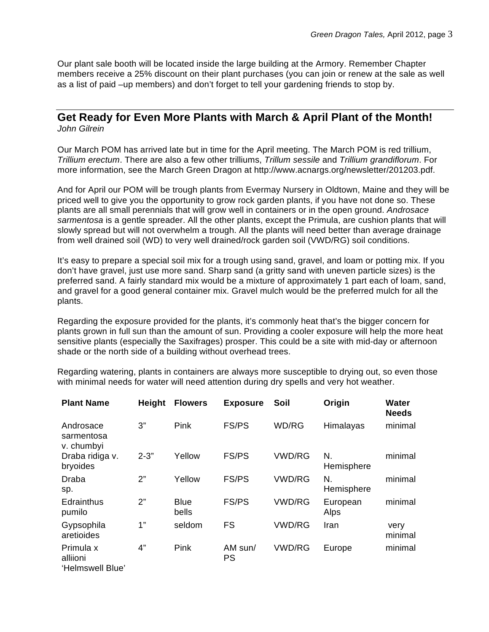Our plant sale booth will be located inside the large building at the Armory. Remember Chapter members receive a 25% discount on their plant purchases (you can join or renew at the sale as well as a list of paid –up members) and don't forget to tell your gardening friends to stop by.

#### **Get Ready for Even More Plants with March & April Plant of the Month!** *John Gilrein*

Our March POM has arrived late but in time for the April meeting. The March POM is red trillium, *Trillium erectum*. There are also a few other trilliums, *Trillum sessile* and *Trillium grandiflorum*. For more information, see the March Green Dragon at http://www.acnargs.org/newsletter/201203.pdf.

And for April our POM will be trough plants from Evermay Nursery in Oldtown, Maine and they will be priced well to give you the opportunity to grow rock garden plants, if you have not done so. These plants are all small perennials that will grow well in containers or in the open ground. *Androsace sarmentosa* is a gentle spreader. All the other plants, except the Primula, are cushion plants that will slowly spread but will not overwhelm a trough. All the plants will need better than average drainage from well drained soil (WD) to very well drained/rock garden soil (VWD/RG) soil conditions.

It's easy to prepare a special soil mix for a trough using sand, gravel, and loam or potting mix. If you don't have gravel, just use more sand. Sharp sand (a gritty sand with uneven particle sizes) is the preferred sand. A fairly standard mix would be a mixture of approximately 1 part each of loam, sand, and gravel for a good general container mix. Gravel mulch would be the preferred mulch for all the plants.

Regarding the exposure provided for the plants, it's commonly heat that's the bigger concern for plants grown in full sun than the amount of sun. Providing a cooler exposure will help the more heat sensitive plants (especially the Saxifrages) prosper. This could be a site with mid-day or afternoon shade or the north side of a building without overhead trees.

Regarding watering, plants in containers are always more susceptible to drying out, so even those with minimal needs for water will need attention during dry spells and very hot weather.

| <b>Plant Name</b>                         | <b>Height</b> | <b>Flowers</b>       | <b>Exposure</b>      | Soil          | Origin           | <b>Water</b><br><b>Needs</b> |
|-------------------------------------------|---------------|----------------------|----------------------|---------------|------------------|------------------------------|
| Androsace<br>sarmentosa<br>v. chumbyi     | 3"            | Pink                 | <b>FS/PS</b>         | WD/RG         | Himalayas        | minimal                      |
| Draba ridiga v.<br>bryoides               | $2 - 3"$      | Yellow               | <b>FS/PS</b>         | <b>VWD/RG</b> | N.<br>Hemisphere | minimal                      |
| Draba<br>sp.                              | 2"            | Yellow               | <b>FS/PS</b>         | <b>VWD/RG</b> | N.<br>Hemisphere | minimal                      |
| Edrainthus<br>pumilo                      | 2"            | <b>Blue</b><br>bells | <b>FS/PS</b>         | <b>VWD/RG</b> | European<br>Alps | minimal                      |
| Gypsophila<br>aretioides                  | 1"            | seldom               | <b>FS</b>            | <b>VWD/RG</b> | Iran             | very<br>minimal              |
| Primula x<br>alliioni<br>'Helmswell Blue' | 4"            | Pink                 | AM sun/<br><b>PS</b> | <b>VWD/RG</b> | Europe           | minimal                      |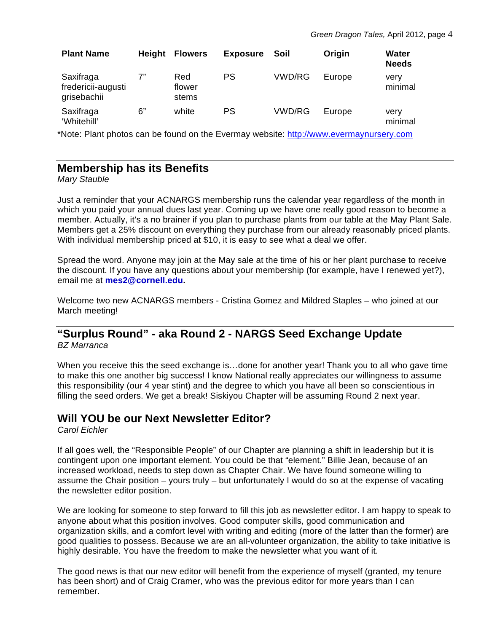| <b>Plant Name</b>                              | <b>Height</b> | <b>Flowers</b>         | <b>Exposure</b> | Soil   | Origin | Water<br><b>Needs</b> |
|------------------------------------------------|---------------|------------------------|-----------------|--------|--------|-----------------------|
| Saxifraga<br>fredericii-augusti<br>grisebachii | 7"            | Red<br>flower<br>stems | PS              | VWD/RG | Europe | very<br>minimal       |
| Saxifraga<br>'Whitehill'                       | 6"            | white                  | PS              | VWD/RG | Europe | very<br>minimal       |

\*Note: Plant photos can be found on the Evermay website: http://www.evermaynursery.com

# **Membership has its Benefits**

*Mary Stauble*

Just a reminder that your ACNARGS membership runs the calendar year regardless of the month in which you paid your annual dues last year. Coming up we have one really good reason to become a member. Actually, it's a no brainer if you plan to purchase plants from our table at the May Plant Sale. Members get a 25% discount on everything they purchase from our already reasonably priced plants. With individual membership priced at \$10, it is easy to see what a deal we offer.

Spread the word. Anyone may join at the May sale at the time of his or her plant purchase to receive the discount. If you have any questions about your membership (for example, have I renewed yet?), email me at **mes2@cornell.edu.**

Welcome two new ACNARGS members - Cristina Gomez and Mildred Staples – who joined at our March meeting!

#### **"Surplus Round" - aka Round 2 - NARGS Seed Exchange Update** *BZ Marranca*

When you receive this the seed exchange is…done for another year! Thank you to all who gave time to make this one another big success! I know National really appreciates our willingness to assume this responsibility (our 4 year stint) and the degree to which you have all been so conscientious in filling the seed orders. We get a break! Siskiyou Chapter will be assuming Round 2 next year.

# **Will YOU be our Next Newsletter Editor?**

*Carol Eichler*

If all goes well, the "Responsible People" of our Chapter are planning a shift in leadership but it is contingent upon one important element. You could be that "element." Billie Jean, because of an increased workload, needs to step down as Chapter Chair. We have found someone willing to assume the Chair position – yours truly – but unfortunately I would do so at the expense of vacating the newsletter editor position.

We are looking for someone to step forward to fill this job as newsletter editor. I am happy to speak to anyone about what this position involves. Good computer skills, good communication and organization skills, and a comfort level with writing and editing (more of the latter than the former) are good qualities to possess. Because we are an all-volunteer organization, the ability to take initiative is highly desirable. You have the freedom to make the newsletter what you want of it.

The good news is that our new editor will benefit from the experience of myself (granted, my tenure has been short) and of Craig Cramer, who was the previous editor for more years than I can remember.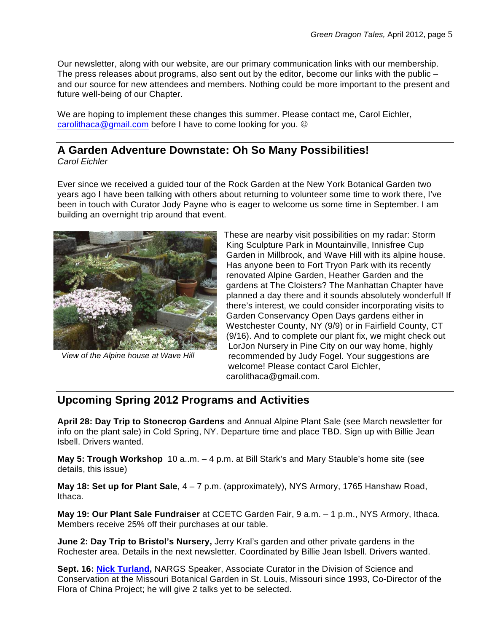Our newsletter, along with our website, are our primary communication links with our membership. The press releases about programs, also sent out by the editor, become our links with the public  $$ and our source for new attendees and members. Nothing could be more important to the present and future well-being of our Chapter.

We are hoping to implement these changes this summer. Please contact me, Carol Eichler, carolithaca@gmail.com before I have to come looking for you.  $\circledcirc$ 

# **A Garden Adventure Downstate: Oh So Many Possibilities!**

*Carol Eichler*

Ever since we received a guided tour of the Rock Garden at the New York Botanical Garden two years ago I have been talking with others about returning to volunteer some time to work there, I've been in touch with Curator Jody Payne who is eager to welcome us some time in September. I am building an overnight trip around that event.



*View of the Alpine house at Wave Hill*

These are nearby visit possibilities on my radar: Storm King Sculpture Park in Mountainville, Innisfree Cup Garden in Millbrook, and Wave Hill with its alpine house. Has anyone been to Fort Tryon Park with its recently renovated Alpine Garden, Heather Garden and the gardens at The Cloisters? The Manhattan Chapter have planned a day there and it sounds absolutely wonderful! If there's interest, we could consider incorporating visits to Garden Conservancy Open Days gardens either in Westchester County, NY (9/9) or in Fairfield County, CT (9/16). And to complete our plant fix, we might check out LorJon Nursery in Pine City on our way home, highly recommended by Judy Fogel. Your suggestions are welcome! Please contact Carol Eichler, carolithaca@gmail.com.

# **Upcoming Spring 2012 Programs and Activities**

**April 28: Day Trip to Stonecrop Gardens** and Annual Alpine Plant Sale (see March newsletter for info on the plant sale) in Cold Spring, NY. Departure time and place TBD. Sign up with Billie Jean Isbell. Drivers wanted.

**May 5: Trough Workshop** 10 a..m. – 4 p.m. at Bill Stark's and Mary Stauble's home site (see details, this issue)

**May 18: Set up for Plant Sale**, 4 – 7 p.m. (approximately), NYS Armory, 1765 Hanshaw Road, Ithaca.

**May 19: Our Plant Sale Fundraiser** at CCETC Garden Fair, 9 a.m. – 1 p.m., NYS Armory, Ithaca. Members receive 25% off their purchases at our table.

**June 2: Day Trip to Bristol's Nursery,** Jerry Kral's garden and other private gardens in the Rochester area. Details in the next newsletter. Coordinated by Billie Jean Isbell. Drivers wanted.

**Sept. 16: Nick Turland,** NARGS Speaker, Associate Curator in the Division of Science and Conservation at the Missouri Botanical Garden in St. Louis, Missouri since 1993, Co-Director of the Flora of China Project; he will give 2 talks yet to be selected.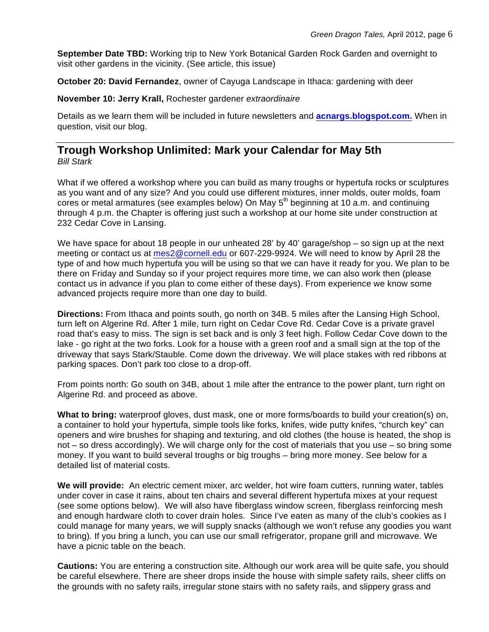**September Date TBD:** Working trip to New York Botanical Garden Rock Garden and overnight to visit other gardens in the vicinity. (See article, this issue)

**October 20: David Fernandez**, owner of Cayuga Landscape in Ithaca: gardening with deer

**November 10: Jerry Krall,** Rochester gardener *extraordinaire*

Details as we learn them will be included in future newsletters and **acnargs.blogspot.com.** When in question, visit our blog.

#### **Trough Workshop Unlimited: Mark your Calendar for May 5th** *Bill Stark*

What if we offered a workshop where you can build as many troughs or hypertufa rocks or sculptures as you want and of any size? And you could use different mixtures, inner molds, outer molds, foam cores or metal armatures (see examples below) On May 5<sup>th</sup> beginning at 10 a.m. and continuing through 4 p.m. the Chapter is offering just such a workshop at our home site under construction at 232 Cedar Cove in Lansing.

We have space for about 18 people in our unheated 28' by 40' garage/shop – so sign up at the next meeting or contact us at mes2@cornell.edu or 607-229-9924. We will need to know by April 28 the type of and how much hypertufa you will be using so that we can have it ready for you. We plan to be there on Friday and Sunday so if your project requires more time, we can also work then (please contact us in advance if you plan to come either of these days). From experience we know some advanced projects require more than one day to build.

**Directions:** From Ithaca and points south, go north on 34B. 5 miles after the Lansing High School, turn left on Algerine Rd. After 1 mile, turn right on Cedar Cove Rd. Cedar Cove is a private gravel road that's easy to miss. The sign is set back and is only 3 feet high. Follow Cedar Cove down to the lake - go right at the two forks. Look for a house with a green roof and a small sign at the top of the driveway that says Stark/Stauble. Come down the driveway. We will place stakes with red ribbons at parking spaces. Don't park too close to a drop-off.

From points north: Go south on 34B, about 1 mile after the entrance to the power plant, turn right on Algerine Rd. and proceed as above.

**What to bring:** waterproof gloves, dust mask, one or more forms/boards to build your creation(s) on, a container to hold your hypertufa, simple tools like forks, knifes, wide putty knifes, "church key" can openers and wire brushes for shaping and texturing, and old clothes (the house is heated, the shop is not – so dress accordingly). We will charge only for the cost of materials that you use – so bring some money. If you want to build several troughs or big troughs – bring more money. See below for a detailed list of material costs.

**We will provide:** An electric cement mixer, arc welder, hot wire foam cutters, running water, tables under cover in case it rains, about ten chairs and several different hypertufa mixes at your request (see some options below). We will also have fiberglass window screen, fiberglass reinforcing mesh and enough hardware cloth to cover drain holes. Since I've eaten as many of the club's cookies as I could manage for many years, we will supply snacks (although we won't refuse any goodies you want to bring). If you bring a lunch, you can use our small refrigerator, propane grill and microwave. We have a picnic table on the beach.

**Cautions:** You are entering a construction site. Although our work area will be quite safe, you should be careful elsewhere. There are sheer drops inside the house with simple safety rails, sheer cliffs on the grounds with no safety rails, irregular stone stairs with no safety rails, and slippery grass and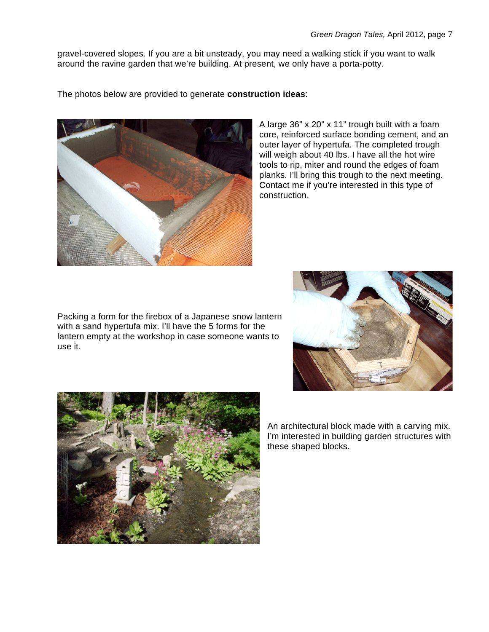gravel-covered slopes. If you are a bit unsteady, you may need a walking stick if you want to walk around the ravine garden that we're building. At present, we only have a porta-potty.

The photos below are provided to generate **construction ideas**:



Packing a form for the firebox of a Japanese snow lantern with a sand hypertufa mix. I'll have the 5 forms for the lantern empty at the workshop in case someone wants to use it.





An architectural block made with a carving mix. I'm interested in building garden structures with these shaped blocks.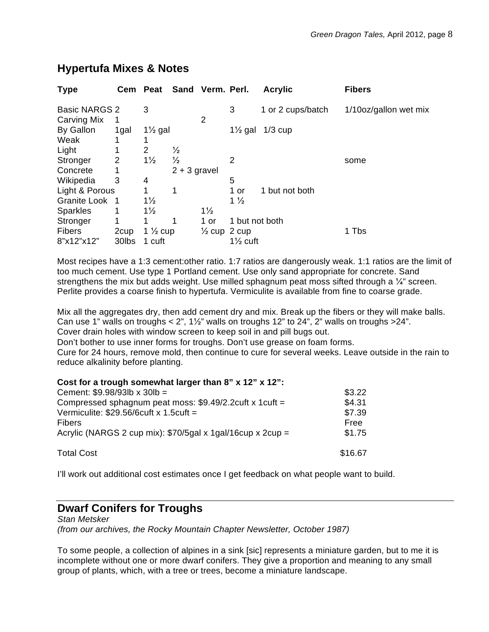| Cem                  |                |               |                                           |                    | <b>Acrylic</b>                              | <b>Fibers</b>                         |
|----------------------|----------------|---------------|-------------------------------------------|--------------------|---------------------------------------------|---------------------------------------|
| <b>Basic NARGS 2</b> | 3              |               |                                           | 3                  | 1 or 2 cups/batch                           | 1/10oz/gallon wet mix                 |
| 1                    |                |               | $\overline{2}$                            |                    |                                             |                                       |
| 1gal                 |                |               |                                           | $1\frac{1}{2}$ gal | $1/3$ cup                                   |                                       |
|                      |                |               |                                           |                    |                                             |                                       |
|                      | $\overline{2}$ | $\frac{1}{2}$ |                                           |                    |                                             |                                       |
| 2                    | $1\frac{1}{2}$ | $\frac{1}{2}$ |                                           | $\overline{2}$     |                                             | some                                  |
|                      |                |               |                                           |                    |                                             |                                       |
| 3                    | 4              |               |                                           | 5                  |                                             |                                       |
| Light & Porous       | 1              | 1             |                                           | 1 or               | 1 but not both                              |                                       |
| Granite Look 1       | $1\frac{1}{2}$ |               |                                           | $1\frac{1}{2}$     |                                             |                                       |
| 1                    | $1\frac{1}{2}$ |               | $1\frac{1}{2}$                            |                    |                                             |                                       |
| 1                    |                | 1             | 1 or                                      |                    |                                             |                                       |
| 2 <sub>cup</sub>     |                |               |                                           |                    |                                             | 1 Tbs                                 |
| 30lbs                | 1 cuft         |               |                                           |                    |                                             |                                       |
|                      |                | Peat          | $1\frac{1}{2}$ gal<br>1 $\frac{1}{2}$ cup | $2 + 3$ gravel     | Sand Verm. Perl.<br>$\frac{1}{2}$ cup 2 cup | 1 but not both<br>$1\frac{1}{2}$ cuft |

# **Hypertufa Mixes & Notes**

Most recipes have a 1:3 cement:other ratio. 1:7 ratios are dangerously weak. 1:1 ratios are the limit of too much cement. Use type 1 Portland cement. Use only sand appropriate for concrete. Sand strengthens the mix but adds weight. Use milled sphagnum peat moss sifted through a  $\frac{1}{4}$ " screen. Perlite provides a coarse finish to hypertufa. Vermiculite is available from fine to coarse grade.

Mix all the aggregates dry, then add cement dry and mix. Break up the fibers or they will make balls. Can use 1" walls on troughs  $< 2$ ",  $1\frac{1}{2}$ " walls on troughs 12" to 24", 2" walls on troughs  $>24$ ". Cover drain holes with window screen to keep soil in and pill bugs out.

Don't bother to use inner forms for troughs. Don't use grease on foam forms.

Cure for 24 hours, remove mold, then continue to cure for several weeks. Leave outside in the rain to reduce alkalinity before planting.

| Cost for a trough somewhat larger than 8" x 12" x 12":     |         |
|------------------------------------------------------------|---------|
| Cement: $$9.98/93lb \times 30lb =$                         | \$3.22  |
| Compressed sphagnum peat moss: \$9.49/2.2cuft x 1cuft =    | \$4.31  |
| Vermiculite: $$29.56/6$ cuft x 1.5cuft =                   | \$7.39  |
| <b>Fibers</b>                                              | Free    |
| Acrylic (NARGS 2 cup mix): \$70/5gal x 1gal/16cup x 2cup = | \$1.75  |
| <b>Total Cost</b>                                          | \$16.67 |

I'll work out additional cost estimates once I get feedback on what people want to build.

# **Dwarf Conifers for Troughs**

*Stan Metsker (from our archives, the Rocky Mountain Chapter Newsletter, October 1987)*

To some people, a collection of alpines in a sink [sic] represents a miniature garden, but to me it is incomplete without one or more dwarf conifers. They give a proportion and meaning to any small group of plants, which, with a tree or trees, become a miniature landscape.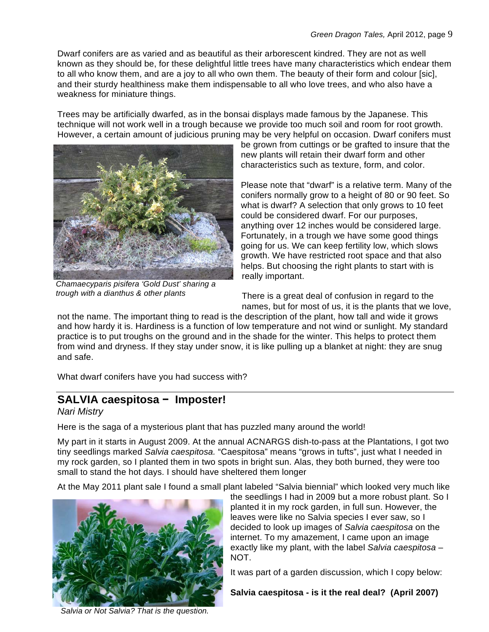Dwarf conifers are as varied and as beautiful as their arborescent kindred. They are not as well known as they should be, for these delightful little trees have many characteristics which endear them to all who know them, and are a joy to all who own them. The beauty of their form and colour [sic], and their sturdy healthiness make them indispensable to all who love trees, and who also have a weakness for miniature things.

Trees may be artificially dwarfed, as in the bonsai displays made famous by the Japanese. This technique will not work well in a trough because we provide too much soil and room for root growth. However, a certain amount of judicious pruning may be very helpful on occasion. Dwarf conifers must



*Chamaecyparis pisifera 'Gold Dust' sharing a trough with a dianthus & other plants*

be grown from cuttings or be grafted to insure that the new plants will retain their dwarf form and other characteristics such as texture, form, and color.

Please note that "dwarf" is a relative term. Many of the conifers normally grow to a height of 80 or 90 feet. So what is dwarf? A selection that only grows to 10 feet could be considered dwarf. For our purposes, anything over 12 inches would be considered large. Fortunately, in a trough we have some good things going for us. We can keep fertility low, which slows growth. We have restricted root space and that also helps. But choosing the right plants to start with is really important.

There is a great deal of confusion in regard to the names, but for most of us, it is the plants that we love,

not the name. The important thing to read is the description of the plant, how tall and wide it grows and how hardy it is. Hardiness is a function of low temperature and not wind or sunlight. My standard practice is to put troughs on the ground and in the shade for the winter. This helps to protect them from wind and dryness. If they stay under snow, it is like pulling up a blanket at night: they are snug and safe.

What dwarf conifers have you had success with?

# **SALVIA caespitosa − Imposter!**

#### *Nari Mistry*

Here is the saga of a mysterious plant that has puzzled many around the world!

My part in it starts in August 2009. At the annual ACNARGS dish-to-pass at the Plantations, I got two tiny seedlings marked *Salvia caespitosa.* "Caespitosa" means "grows in tufts", just what I needed in my rock garden, so I planted them in two spots in bright sun. Alas, they both burned, they were too small to stand the hot days. I should have sheltered them longer

At the May 2011 plant sale I found a small plant labeled "Salvia biennial" which looked very much like



the seedlings I had in 2009 but a more robust plant. So I planted it in my rock garden, in full sun. However, the leaves were like no Salvia species I ever saw, so I decided to look up images of *Salvia caespitosa* on the internet. To my amazement, I came upon an image exactly like my plant, with the label *Salvia caespitosa* – NOT.

It was part of a garden discussion, which I copy below:

**Salvia caespitosa - is it the real deal? (April 2007)**

*Salvia or Not Salvia? That is the question.*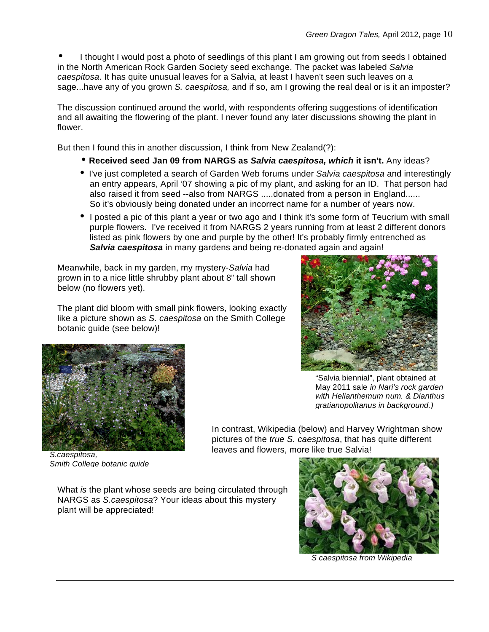I thought I would post a photo of seedlings of this plant I am growing out from seeds I obtained in the North American Rock Garden Society seed exchange. The packet was labeled *Salvia caespitosa*. It has quite unusual leaves for a Salvia, at least I haven't seen such leaves on a sage...have any of you grown *S. caespitosa,* and if so, am I growing the real deal or is it an imposter?

The discussion continued around the world, with respondents offering suggestions of identification and all awaiting the flowering of the plant. I never found any later discussions showing the plant in flower.

But then I found this in another discussion, I think from New Zealand(?):

- **Received seed Jan 09 from NARGS as** *Salvia caespitosa, which* **it isn't.** Any ideas?
- I've just completed a search of Garden Web forums under *Salvia caespitosa* and interestingly an entry appears, April '07 showing a pic of my plant, and asking for an ID. That person had also raised it from seed --also from NARGS .....donated from a person in England...... So it's obviously being donated under an incorrect name for a number of years now.
- I posted a pic of this plant a year or two ago and I think it's some form of Teucrium with small purple flowers. I've received it from NARGS 2 years running from at least 2 different donors listed as pink flowers by one and purple by the other! It's probably firmly entrenched as **Salvia caespitosa** in many gardens and being re-donated again and again!

Meanwhile, back in my garden, my mystery-*Salvia* had grown in to a nice little shrubby plant about 8" tall shown below (no flowers yet).

The plant did bloom with small pink flowers, looking exactly like a picture shown as *S. caespitosa* on the Smith College botanic guide (see below)!



"Salvia biennial", plant obtained at May 2011 sale *in Nari's rock garden with Helianthemum num. & Dianthus gratianopolitanus in background.)*

In contrast, Wikipedia (below) and Harvey Wrightman show pictures of the *true S. caespitosa*, that has quite different leaves and flowers, more like true Salvia!

*S.caespitosa, Smith College botanic guide*

What *is* the plant whose seeds are being circulated through NARGS as *S.caespitosa*? Your ideas about this mystery plant will be appreciated!



*S caespitosa from Wikipedia*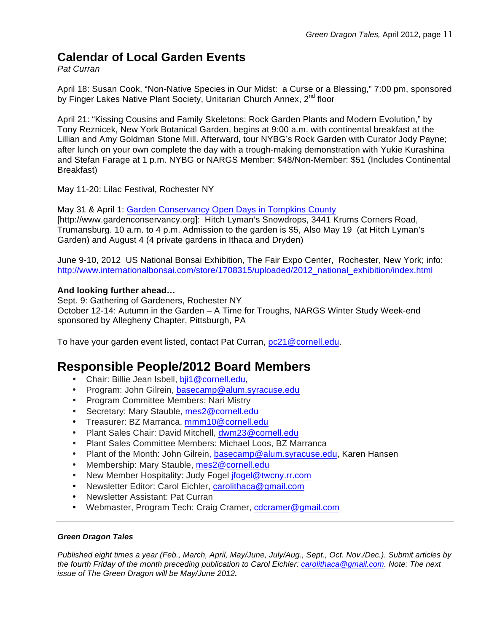# **Calendar of Local Garden Events**

*Pat Curran*

April 18: Susan Cook, "Non-Native Species in Our Midst: a Curse or a Blessing," 7:00 pm, sponsored by Finger Lakes Native Plant Society, Unitarian Church Annex, 2<sup>nd</sup> floor

April 21: "Kissing Cousins and Family Skeletons: Rock Garden Plants and Modern Evolution," by Tony Reznicek, New York Botanical Garden, begins at 9:00 a.m. with continental breakfast at the Lillian and Amy Goldman Stone Mill. Afterward, tour NYBG's Rock Garden with Curator Jody Payne; after lunch on your own complete the day with a trough-making demonstration with Yukie Kurashina and Stefan Farage at 1 p.m. NYBG or NARGS Member: \$48/Non-Member: \$51 (Includes Continental Breakfast)

May 11-20: Lilac Festival, Rochester NY

May 31 & April 1: Garden Conservancy Open Days in Tompkins County [http://www.gardenconservancy.org]: Hitch Lyman's Snowdrops, 3441 Krums Corners Road, Trumansburg. 10 a.m. to 4 p.m. Admission to the garden is \$5, Also May 19 (at Hitch Lyman's Garden) and August 4 (4 private gardens in Ithaca and Dryden)

June 9-10, 2012 US National Bonsai Exhibition, The Fair Expo Center, Rochester, New York; info: http://www.internationalbonsai.com/store/1708315/uploaded/2012\_national\_exhibition/index.html

#### **And looking further ahead…**

Sept. 9: Gathering of Gardeners, Rochester NY October 12-14: Autumn in the Garden – A Time for Troughs, NARGS Winter Study Week-end sponsored by Allegheny Chapter, Pittsburgh, PA

To have your garden event listed, contact Pat Curran, pc21@cornell.edu.

# **Responsible People/2012 Board Members**

- Chair: Billie Jean Isbell, bji1@cornell.edu,
- Program: John Gilrein, basecamp@alum.syracuse.edu
- Program Committee Members: Nari Mistry
- Secretary: Mary Stauble, mes2@cornell.edu
- Treasurer: BZ Marranca, mmm10@cornell.edu
- Plant Sales Chair: David Mitchell, dwm23@cornell.edu
- Plant Sales Committee Members: Michael Loos, BZ Marranca
- Plant of the Month: John Gilrein, basecamp@alum.syracuse.edu, Karen Hansen
- Membership: Mary Stauble, mes2@cornell.edu
- New Member Hospitality: Judy Fogel *ifogel@twcny.rr.com*
- Newsletter Editor: Carol Eichler, carolithaca@gmail.com
- Newsletter Assistant: Pat Curran
- Webmaster, Program Tech: Craig Cramer, cdcramer@gmail.com

#### *Green Dragon Tales*

*Published eight times a year (Feb., March, April, May/June, July/Aug., Sept., Oct. Nov./Dec.). Submit articles by the fourth Friday of the month preceding publication to Carol Eichler: carolithaca@gmail.com. Note: The next issue of The Green Dragon will be May/June 2012.*